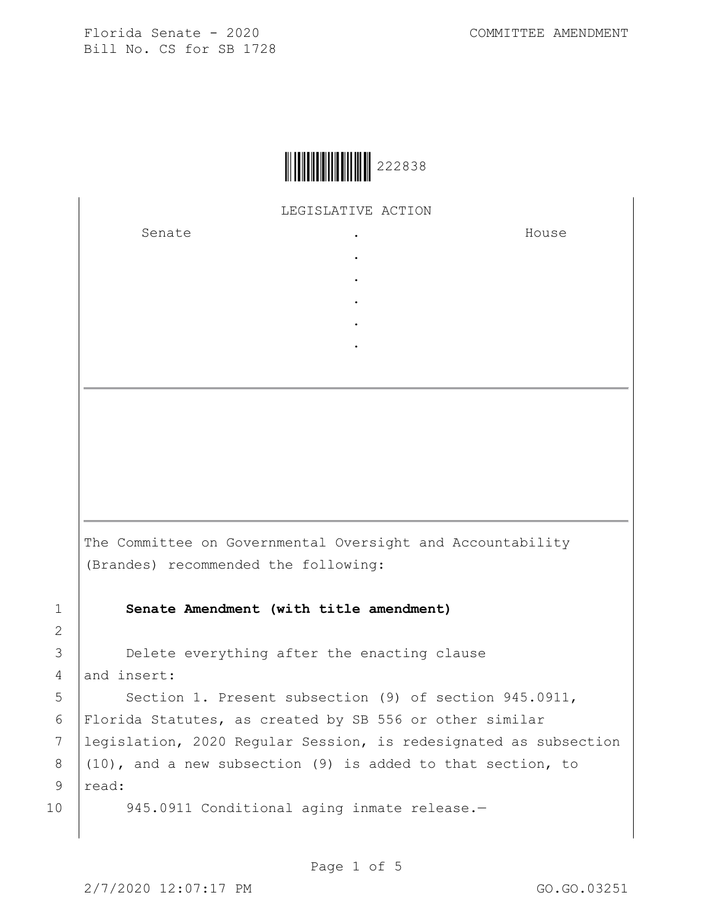

LEGISLATIVE ACTION

. . . . .

Senate .

House

The Committee on Governmental Oversight and Accountability (Brandes) recommended the following:

1 **Senate Amendment (with title amendment)**

3 **Delete everything after the enacting clause** 4 and insert:

5 | Section 1. Present subsection (9) of section 945.0911, 6 Florida Statutes, as created by SB 556 or other similar 7 legislation, 2020 Regular Session, is redesignated as subsection 8  $(10)$ , and a new subsection (9) is added to that section, to 9 read:

10 945.0911 Conditional aging inmate release.-

2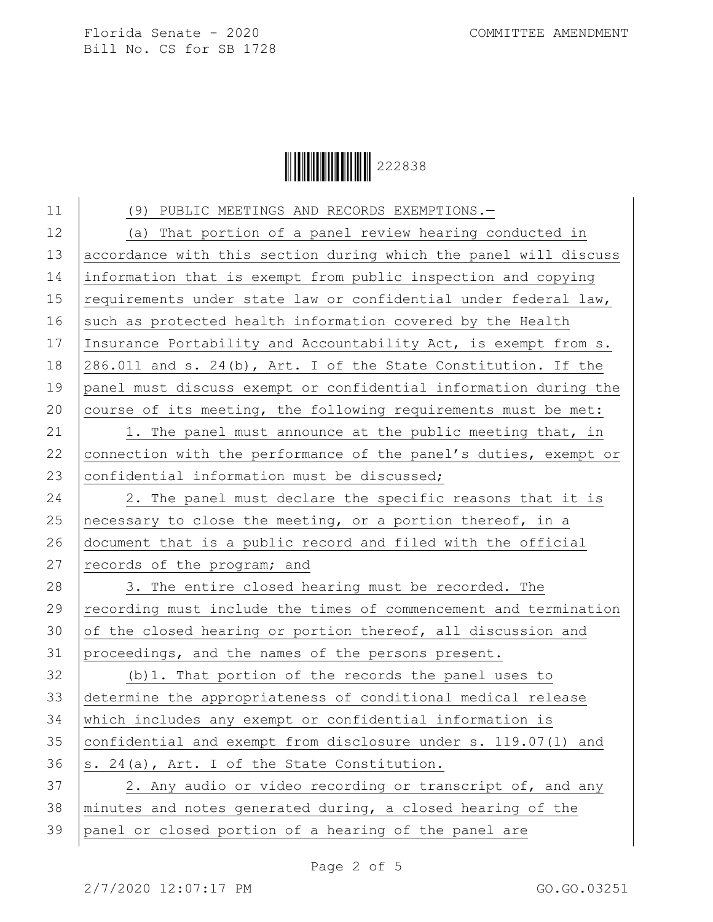

11 (9) PUBLIC MEETINGS AND RECORDS EXEMPTIONS.-12 (a) That portion of a panel review hearing conducted in 13 accordance with this section during which the panel will discuss 14 information that is exempt from public inspection and copying 15 requirements under state law or confidential under federal law, 16 such as protected health information covered by the Health 17 Insurance Portability and Accountability Act, is exempt from s. 18 286.011 and s. 24(b), Art. I of the State Constitution. If the 19 panel must discuss exempt or confidential information during the 20 course of its meeting, the following requirements must be met:

21 | 1. The panel must announce at the public meeting that, in 22 connection with the performance of the panel's duties, exempt or 23  $|$  confidential information must be discussed;

24 | 2. The panel must declare the specific reasons that it is 25 | necessary to close the meeting, or a portion thereof, in a 26 document that is a public record and filed with the official 27  $|$  records of the program; and

28 3. The entire closed hearing must be recorded. The 29 recording must include the times of commencement and termination 30 of the closed hearing or portion thereof, all discussion and 31 proceedings, and the names of the persons present.

 (b)1. That portion of the records the panel uses to determine the appropriateness of conditional medical release which includes any exempt or confidential information is confidential and exempt from disclosure under s. 119.07(1) and  $|s. 24(a), Art. I of the State Construction.$ 

37 2. Any audio or video recording or transcript of, and any 38 minutes and notes generated during, a closed hearing of the 39 panel or closed portion of a hearing of the panel are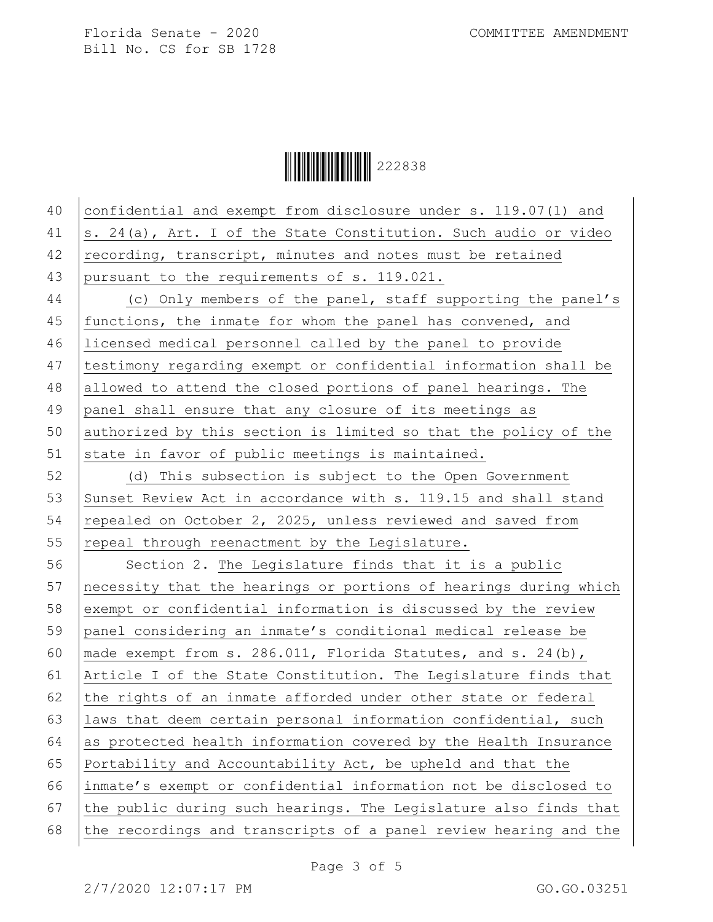Ì222838@Î222838

| 40 | confidential and exempt from disclosure under s. 119.07(1) and   |
|----|------------------------------------------------------------------|
| 41 | s. 24(a), Art. I of the State Constitution. Such audio or video  |
| 42 | recording, transcript, minutes and notes must be retained        |
| 43 | pursuant to the requirements of s. 119.021.                      |
| 44 | (c) Only members of the panel, staff supporting the panel's      |
| 45 | functions, the inmate for whom the panel has convened, and       |
| 46 | licensed medical personnel called by the panel to provide        |
| 47 | testimony regarding exempt or confidential information shall be  |
| 48 | allowed to attend the closed portions of panel hearings. The     |
| 49 | panel shall ensure that any closure of its meetings as           |
| 50 | authorized by this section is limited so that the policy of the  |
| 51 | state in favor of public meetings is maintained.                 |
| 52 | (d) This subsection is subject to the Open Government            |
| 53 | Sunset Review Act in accordance with s. 119.15 and shall stand   |
| 54 | repealed on October 2, 2025, unless reviewed and saved from      |
| 55 | repeal through reenactment by the Legislature.                   |
| 56 | Section 2. The Legislature finds that it is a public             |
| 57 | necessity that the hearings or portions of hearings during which |
| 58 | exempt or confidential information is discussed by the review    |
| 59 | panel considering an inmate's conditional medical release be     |
| 60 | made exempt from s. 286.011, Florida Statutes, and s. 24(b),     |
| 61 | Article I of the State Constitution. The Legislature finds that  |
| 62 | the rights of an inmate afforded under other state or federal    |
| 63 | laws that deem certain personal information confidential, such   |
| 64 | as protected health information covered by the Health Insurance  |
| 65 | Portability and Accountability Act, be upheld and that the       |
| 66 | inmate's exempt or confidential information not be disclosed to  |
| 67 | the public during such hearings. The Legislature also finds that |
| 68 | the recordings and transcripts of a panel review hearing and the |
|    |                                                                  |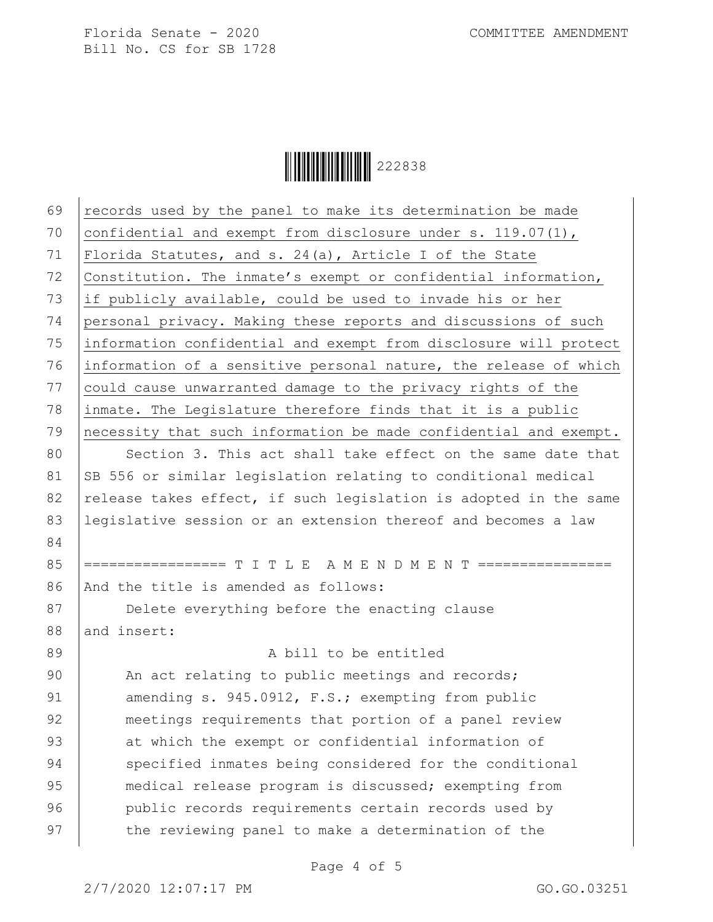

| 70<br>confidential and exempt from disclosure under s. $119.07(1)$ ,<br>71<br>Florida Statutes, and s. $24(a)$ , Article I of the State<br>72<br>Constitution. The inmate's exempt or confidential information,<br>73<br>if publicly available, could be used to invade his or her<br>74<br>personal privacy. Making these reports and discussions of such<br>75<br>information confidential and exempt from disclosure will protect<br>76<br>information of a sensitive personal nature, the release of which<br>77<br>could cause unwarranted damage to the privacy rights of the<br>78<br>inmate. The Legislature therefore finds that it is a public<br>79<br>necessity that such information be made confidential and exempt.<br>80<br>Section 3. This act shall take effect on the same date that<br>81<br>SB 556 or similar legislation relating to conditional medical<br>82<br>release takes effect, if such legislation is adopted in the same<br>83<br>legislative session or an extension thereof and becomes a law<br>84<br>85<br>================= T I T L E A M E N D M E N T ================<br>86<br>And the title is amended as follows:<br>87<br>Delete everything before the enacting clause<br>88<br>and insert:<br>89<br>A bill to be entitled<br>90<br>An act relating to public meetings and records;<br>91<br>amending s. 945.0912, F.S.; exempting from public<br>92<br>meetings requirements that portion of a panel review<br>93<br>at which the exempt or confidential information of<br>94<br>specified inmates being considered for the conditional<br>95<br>medical release program is discussed; exempting from<br>96<br>public records requirements certain records used by | 69 | records used by the panel to make its determination be made |
|----------------------------------------------------------------------------------------------------------------------------------------------------------------------------------------------------------------------------------------------------------------------------------------------------------------------------------------------------------------------------------------------------------------------------------------------------------------------------------------------------------------------------------------------------------------------------------------------------------------------------------------------------------------------------------------------------------------------------------------------------------------------------------------------------------------------------------------------------------------------------------------------------------------------------------------------------------------------------------------------------------------------------------------------------------------------------------------------------------------------------------------------------------------------------------------------------------------------------------------------------------------------------------------------------------------------------------------------------------------------------------------------------------------------------------------------------------------------------------------------------------------------------------------------------------------------------------------------------------------------------------------------------------------------------------------------------------------|----|-------------------------------------------------------------|
|                                                                                                                                                                                                                                                                                                                                                                                                                                                                                                                                                                                                                                                                                                                                                                                                                                                                                                                                                                                                                                                                                                                                                                                                                                                                                                                                                                                                                                                                                                                                                                                                                                                                                                                |    |                                                             |
|                                                                                                                                                                                                                                                                                                                                                                                                                                                                                                                                                                                                                                                                                                                                                                                                                                                                                                                                                                                                                                                                                                                                                                                                                                                                                                                                                                                                                                                                                                                                                                                                                                                                                                                |    |                                                             |
|                                                                                                                                                                                                                                                                                                                                                                                                                                                                                                                                                                                                                                                                                                                                                                                                                                                                                                                                                                                                                                                                                                                                                                                                                                                                                                                                                                                                                                                                                                                                                                                                                                                                                                                |    |                                                             |
|                                                                                                                                                                                                                                                                                                                                                                                                                                                                                                                                                                                                                                                                                                                                                                                                                                                                                                                                                                                                                                                                                                                                                                                                                                                                                                                                                                                                                                                                                                                                                                                                                                                                                                                |    |                                                             |
|                                                                                                                                                                                                                                                                                                                                                                                                                                                                                                                                                                                                                                                                                                                                                                                                                                                                                                                                                                                                                                                                                                                                                                                                                                                                                                                                                                                                                                                                                                                                                                                                                                                                                                                |    |                                                             |
|                                                                                                                                                                                                                                                                                                                                                                                                                                                                                                                                                                                                                                                                                                                                                                                                                                                                                                                                                                                                                                                                                                                                                                                                                                                                                                                                                                                                                                                                                                                                                                                                                                                                                                                |    |                                                             |
|                                                                                                                                                                                                                                                                                                                                                                                                                                                                                                                                                                                                                                                                                                                                                                                                                                                                                                                                                                                                                                                                                                                                                                                                                                                                                                                                                                                                                                                                                                                                                                                                                                                                                                                |    |                                                             |
|                                                                                                                                                                                                                                                                                                                                                                                                                                                                                                                                                                                                                                                                                                                                                                                                                                                                                                                                                                                                                                                                                                                                                                                                                                                                                                                                                                                                                                                                                                                                                                                                                                                                                                                |    |                                                             |
|                                                                                                                                                                                                                                                                                                                                                                                                                                                                                                                                                                                                                                                                                                                                                                                                                                                                                                                                                                                                                                                                                                                                                                                                                                                                                                                                                                                                                                                                                                                                                                                                                                                                                                                |    |                                                             |
|                                                                                                                                                                                                                                                                                                                                                                                                                                                                                                                                                                                                                                                                                                                                                                                                                                                                                                                                                                                                                                                                                                                                                                                                                                                                                                                                                                                                                                                                                                                                                                                                                                                                                                                |    |                                                             |
|                                                                                                                                                                                                                                                                                                                                                                                                                                                                                                                                                                                                                                                                                                                                                                                                                                                                                                                                                                                                                                                                                                                                                                                                                                                                                                                                                                                                                                                                                                                                                                                                                                                                                                                |    |                                                             |
|                                                                                                                                                                                                                                                                                                                                                                                                                                                                                                                                                                                                                                                                                                                                                                                                                                                                                                                                                                                                                                                                                                                                                                                                                                                                                                                                                                                                                                                                                                                                                                                                                                                                                                                |    |                                                             |
|                                                                                                                                                                                                                                                                                                                                                                                                                                                                                                                                                                                                                                                                                                                                                                                                                                                                                                                                                                                                                                                                                                                                                                                                                                                                                                                                                                                                                                                                                                                                                                                                                                                                                                                |    |                                                             |
|                                                                                                                                                                                                                                                                                                                                                                                                                                                                                                                                                                                                                                                                                                                                                                                                                                                                                                                                                                                                                                                                                                                                                                                                                                                                                                                                                                                                                                                                                                                                                                                                                                                                                                                |    |                                                             |
|                                                                                                                                                                                                                                                                                                                                                                                                                                                                                                                                                                                                                                                                                                                                                                                                                                                                                                                                                                                                                                                                                                                                                                                                                                                                                                                                                                                                                                                                                                                                                                                                                                                                                                                |    |                                                             |
|                                                                                                                                                                                                                                                                                                                                                                                                                                                                                                                                                                                                                                                                                                                                                                                                                                                                                                                                                                                                                                                                                                                                                                                                                                                                                                                                                                                                                                                                                                                                                                                                                                                                                                                |    |                                                             |
|                                                                                                                                                                                                                                                                                                                                                                                                                                                                                                                                                                                                                                                                                                                                                                                                                                                                                                                                                                                                                                                                                                                                                                                                                                                                                                                                                                                                                                                                                                                                                                                                                                                                                                                |    |                                                             |
|                                                                                                                                                                                                                                                                                                                                                                                                                                                                                                                                                                                                                                                                                                                                                                                                                                                                                                                                                                                                                                                                                                                                                                                                                                                                                                                                                                                                                                                                                                                                                                                                                                                                                                                |    |                                                             |
|                                                                                                                                                                                                                                                                                                                                                                                                                                                                                                                                                                                                                                                                                                                                                                                                                                                                                                                                                                                                                                                                                                                                                                                                                                                                                                                                                                                                                                                                                                                                                                                                                                                                                                                |    |                                                             |
|                                                                                                                                                                                                                                                                                                                                                                                                                                                                                                                                                                                                                                                                                                                                                                                                                                                                                                                                                                                                                                                                                                                                                                                                                                                                                                                                                                                                                                                                                                                                                                                                                                                                                                                |    |                                                             |
|                                                                                                                                                                                                                                                                                                                                                                                                                                                                                                                                                                                                                                                                                                                                                                                                                                                                                                                                                                                                                                                                                                                                                                                                                                                                                                                                                                                                                                                                                                                                                                                                                                                                                                                |    |                                                             |
|                                                                                                                                                                                                                                                                                                                                                                                                                                                                                                                                                                                                                                                                                                                                                                                                                                                                                                                                                                                                                                                                                                                                                                                                                                                                                                                                                                                                                                                                                                                                                                                                                                                                                                                |    |                                                             |
|                                                                                                                                                                                                                                                                                                                                                                                                                                                                                                                                                                                                                                                                                                                                                                                                                                                                                                                                                                                                                                                                                                                                                                                                                                                                                                                                                                                                                                                                                                                                                                                                                                                                                                                |    |                                                             |
|                                                                                                                                                                                                                                                                                                                                                                                                                                                                                                                                                                                                                                                                                                                                                                                                                                                                                                                                                                                                                                                                                                                                                                                                                                                                                                                                                                                                                                                                                                                                                                                                                                                                                                                |    |                                                             |
|                                                                                                                                                                                                                                                                                                                                                                                                                                                                                                                                                                                                                                                                                                                                                                                                                                                                                                                                                                                                                                                                                                                                                                                                                                                                                                                                                                                                                                                                                                                                                                                                                                                                                                                |    |                                                             |
|                                                                                                                                                                                                                                                                                                                                                                                                                                                                                                                                                                                                                                                                                                                                                                                                                                                                                                                                                                                                                                                                                                                                                                                                                                                                                                                                                                                                                                                                                                                                                                                                                                                                                                                |    |                                                             |
|                                                                                                                                                                                                                                                                                                                                                                                                                                                                                                                                                                                                                                                                                                                                                                                                                                                                                                                                                                                                                                                                                                                                                                                                                                                                                                                                                                                                                                                                                                                                                                                                                                                                                                                |    |                                                             |
|                                                                                                                                                                                                                                                                                                                                                                                                                                                                                                                                                                                                                                                                                                                                                                                                                                                                                                                                                                                                                                                                                                                                                                                                                                                                                                                                                                                                                                                                                                                                                                                                                                                                                                                | 97 | the reviewing panel to make a determination of the          |

Page 4 of 5